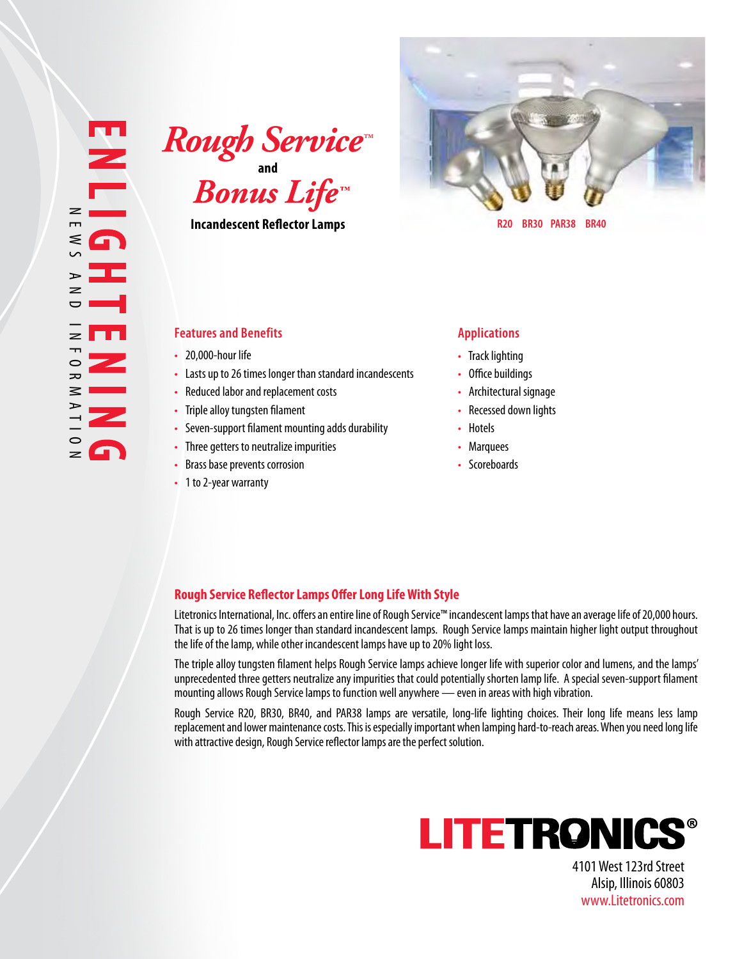**and**  $\boldsymbol{R}$ ough Service<sup>\*</sup>

**Incandescent Reflector Lamps**



 **R20 BR30 PAR38 BR40**

## **Features and Benefits Applications**

- 
- 
- 
- 
- 
- 
- 
- 

- 
- 
- 
- 
- 
- 
- 

## **Rough Service Reflector Lamps Offer Long Life With Style**

Litetronics International, Inc. offers an entire line of Rough Service™ incandescent lamps that have an average life of 20,000 hours. That is up to 26 times longer than standard incandescent lamps. Rough Service lamps maintain higher light output throughout the life of the lamp, while other incandescent lamps have up to 20% light loss.

The triple alloy tungsten filament helps Rough Service lamps achieve longer life with superior color and lumens, and the lamps' unprecedented three getters neutralize any impurities that could potentially shorten lamp life. A special seven-support filament mounting allows Rough Service lamps to function well anywhere — even in areas with high vibration.

Rough Service R20, BR30, BR40, and PAR38 lamps are versatile, long-life lighting choices. Their long life means less lamp replacement and lower maintenance costs. This is especially important when lamping hard-to-reach areas. When you need long life - 20,000-hour life **comparison and the comparison of the anti-** . Track lighting<br>
- Reduced labor and replacement costs and and incandescents<br>
- Referrectural signage<br>
- The pelacel abor and replacement costs<br>
- Seven-supp



4101 West 123rd Street Alsip, Illinois 60803 www.Litetronics.com